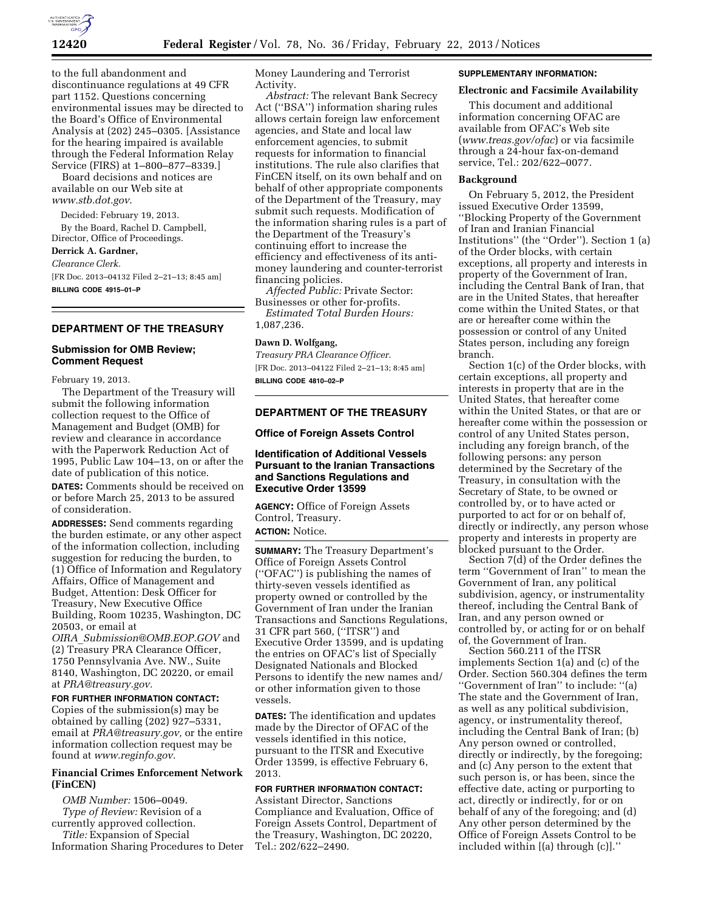

to the full abandonment and discontinuance regulations at 49 CFR part 1152. Questions concerning environmental issues may be directed to the Board's Office of Environmental Analysis at (202) 245–0305. [Assistance for the hearing impaired is available through the Federal Information Relay Service (FIRS) at 1–800–877–8339.]

Board decisions and notices are available on our Web site at *[www.stb.dot.gov](http://www.stb.dot.gov)*.

Decided: February 19, 2013.

By the Board, Rachel D. Campbell, Director, Office of Proceedings.

### **Derrick A. Gardner,**

*Clearance Clerk.* 

[FR Doc. 2013–04132 Filed 2–21–13; 8:45 am] **BILLING CODE 4915–01–P** 

#### **DEPARTMENT OF THE TREASURY**

### **Submission for OMB Review; Comment Request**

February 19, 2013.

The Department of the Treasury will submit the following information collection request to the Office of Management and Budget (OMB) for review and clearance in accordance with the Paperwork Reduction Act of 1995, Public Law 104–13, on or after the date of publication of this notice.

**DATES:** Comments should be received on or before March 25, 2013 to be assured of consideration.

**ADDRESSES:** Send comments regarding the burden estimate, or any other aspect of the information collection, including suggestion for reducing the burden, to (1) Office of Information and Regulatory Affairs, Office of Management and Budget, Attention: Desk Officer for Treasury, New Executive Office Building, Room 10235, Washington, DC 20503, or email at

*OIRA*\_*[Submission@OMB.EOP.GOV](mailto:OIRA_Submission@OMB.EOP.GOV)* and (2) Treasury PRA Clearance Officer, 1750 Pennsylvania Ave. NW., Suite 8140, Washington, DC 20220, or email at *[PRA@treasury.gov.](mailto:PRA@treasury.gov)* 

#### **FOR FURTHER INFORMATION CONTACT:**

Copies of the submission(s) may be obtained by calling (202) 927–5331, email at *[PRA@treasury.gov,](mailto:PRA@treasury.gov)* or the entire information collection request may be found at *[www.reginfo.gov.](http://www.reginfo.gov)* 

# **Financial Crimes Enforcement Network (FinCEN)**

*OMB Number:* 1506–0049. *Type of Review:* Revision of a currently approved collection. *Title:* Expansion of Special

Information Sharing Procedures to Deter

Money Laundering and Terrorist Activity.

*Abstract:* The relevant Bank Secrecy Act (''BSA'') information sharing rules allows certain foreign law enforcement agencies, and State and local law enforcement agencies, to submit requests for information to financial institutions. The rule also clarifies that FinCEN itself, on its own behalf and on behalf of other appropriate components of the Department of the Treasury, may submit such requests. Modification of the information sharing rules is a part of the Department of the Treasury's continuing effort to increase the efficiency and effectiveness of its antimoney laundering and counter-terrorist financing policies.

*Affected Public:* Private Sector: Businesses or other for-profits.

*Estimated Total Burden Hours:*  1,087,236.

# **Dawn D. Wolfgang,**

*Treasury PRA Clearance Officer.*  [FR Doc. 2013–04122 Filed 2–21–13; 8:45 am] **BILLING CODE 4810–02–P** 

# **DEPARTMENT OF THE TREASURY**

#### **Office of Foreign Assets Control**

### **Identification of Additional Vessels Pursuant to the Iranian Transactions and Sanctions Regulations and Executive Order 13599**

**AGENCY:** Office of Foreign Assets Control, Treasury. **ACTION:** Notice.

**SUMMARY:** The Treasury Department's Office of Foreign Assets Control (''OFAC'') is publishing the names of thirty-seven vessels identified as property owned or controlled by the Government of Iran under the Iranian Transactions and Sanctions Regulations, 31 CFR part 560, (''ITSR'') and Executive Order 13599, and is updating the entries on OFAC's list of Specially Designated Nationals and Blocked Persons to identify the new names and/ or other information given to those vessels.

**DATES:** The identification and updates made by the Director of OFAC of the vessels identified in this notice, pursuant to the ITSR and Executive Order 13599, is effective February 6, 2013.

# **FOR FURTHER INFORMATION CONTACT:**

Assistant Director, Sanctions Compliance and Evaluation, Office of Foreign Assets Control, Department of the Treasury, Washington, DC 20220, Tel.: 202/622–2490.

#### **SUPPLEMENTARY INFORMATION:**

#### **Electronic and Facsimile Availability**

This document and additional information concerning OFAC are available from OFAC's Web site (*[www.treas.gov/ofac](http://www.treas.gov/ofac)*) or via facsimile through a 24-hour fax-on-demand service, Tel.: 202/622–0077.

#### **Background**

On February 5, 2012, the President issued Executive Order 13599, ''Blocking Property of the Government of Iran and Iranian Financial Institutions'' (the ''Order''). Section 1 (a) of the Order blocks, with certain exceptions, all property and interests in property of the Government of Iran, including the Central Bank of Iran, that are in the United States, that hereafter come within the United States, or that are or hereafter come within the possession or control of any United States person, including any foreign branch.

Section 1(c) of the Order blocks, with certain exceptions, all property and interests in property that are in the United States, that hereafter come within the United States, or that are or hereafter come within the possession or control of any United States person, including any foreign branch, of the following persons: any person determined by the Secretary of the Treasury, in consultation with the Secretary of State, to be owned or controlled by, or to have acted or purported to act for or on behalf of, directly or indirectly, any person whose property and interests in property are blocked pursuant to the Order.

Section 7(d) of the Order defines the term ''Government of Iran'' to mean the Government of Iran, any political subdivision, agency, or instrumentality thereof, including the Central Bank of Iran, and any person owned or controlled by, or acting for or on behalf of, the Government of Iran.

Section 560.211 of the ITSR implements Section 1(a) and (c) of the Order. Section 560.304 defines the term ''Government of Iran'' to include: ''(a) The state and the Government of Iran, as well as any political subdivision, agency, or instrumentality thereof, including the Central Bank of Iran; (b) Any person owned or controlled, directly or indirectly, by the foregoing; and (c) Any person to the extent that such person is, or has been, since the effective date, acting or purporting to act, directly or indirectly, for or on behalf of any of the foregoing; and (d) Any other person determined by the Office of Foreign Assets Control to be included within [(a) through (c)].''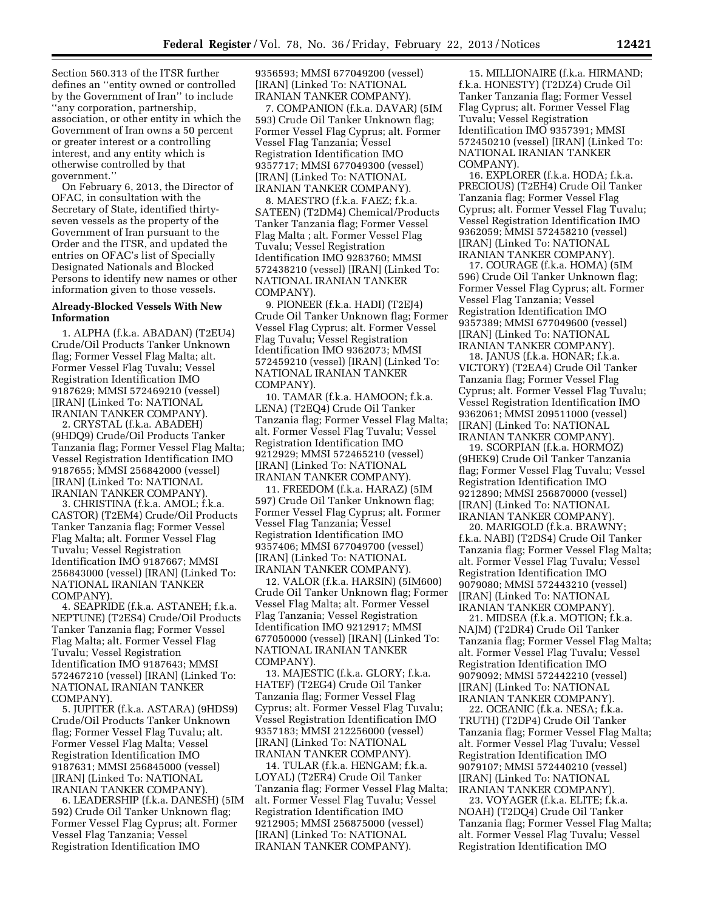Section 560.313 of the ITSR further defines an ''entity owned or controlled by the Government of Iran'' to include ''any corporation, partnership, association, or other entity in which the Government of Iran owns a 50 percent or greater interest or a controlling interest, and any entity which is otherwise controlled by that government.''

On February 6, 2013, the Director of OFAC, in consultation with the Secretary of State, identified thirtyseven vessels as the property of the Government of Iran pursuant to the Order and the ITSR, and updated the entries on OFAC's list of Specially Designated Nationals and Blocked Persons to identify new names or other information given to those vessels.

### **Already-Blocked Vessels With New Information**

1. ALPHA (f.k.a. ABADAN) (T2EU4) Crude/Oil Products Tanker Unknown flag; Former Vessel Flag Malta; alt. Former Vessel Flag Tuvalu; Vessel Registration Identification IMO 9187629; MMSI 572469210 (vessel) [IRAN] (Linked To: NATIONAL IRANIAN TANKER COMPANY).

2. CRYSTAL (f.k.a. ABADEH) (9HDQ9) Crude/Oil Products Tanker Tanzania flag; Former Vessel Flag Malta; Vessel Registration Identification IMO 9187655; MMSI 256842000 (vessel) [IRAN] (Linked To: NATIONAL IRANIAN TANKER COMPANY).

3. CHRISTINA (f.k.a. AMOL; f.k.a. CASTOR) (T2EM4) Crude/Oil Products Tanker Tanzania flag; Former Vessel Flag Malta; alt. Former Vessel Flag Tuvalu; Vessel Registration Identification IMO 9187667; MMSI 256843000 (vessel) [IRAN] (Linked To: NATIONAL IRANIAN TANKER COMPANY).

4. SEAPRIDE (f.k.a. ASTANEH; f.k.a. NEPTUNE) (T2ES4) Crude/Oil Products Tanker Tanzania flag; Former Vessel Flag Malta; alt. Former Vessel Flag Tuvalu; Vessel Registration Identification IMO 9187643; MMSI 572467210 (vessel) [IRAN] (Linked To: NATIONAL IRANIAN TANKER COMPANY).

5. JUPITER (f.k.a. ASTARA) (9HDS9) Crude/Oil Products Tanker Unknown flag; Former Vessel Flag Tuvalu; alt. Former Vessel Flag Malta; Vessel Registration Identification IMO 9187631; MMSI 256845000 (vessel) [IRAN] (Linked To: NATIONAL IRANIAN TANKER COMPANY).

6. LEADERSHIP (f.k.a. DANESH) (5IM 592) Crude Oil Tanker Unknown flag; Former Vessel Flag Cyprus; alt. Former Vessel Flag Tanzania; Vessel Registration Identification IMO

9356593; MMSI 677049200 (vessel) [IRAN] (Linked To: NATIONAL IRANIAN TANKER COMPANY).

7. COMPANION (f.k.a. DAVAR) (5IM 593) Crude Oil Tanker Unknown flag; Former Vessel Flag Cyprus; alt. Former Vessel Flag Tanzania; Vessel Registration Identification IMO 9357717; MMSI 677049300 (vessel) [IRAN] (Linked To: NATIONAL IRANIAN TANKER COMPANY).

8. MAESTRO (f.k.a. FAEZ; f.k.a. SATEEN) (T2DM4) Chemical/Products Tanker Tanzania flag; Former Vessel Flag Malta ; alt. Former Vessel Flag Tuvalu; Vessel Registration Identification IMO 9283760; MMSI 572438210 (vessel) [IRAN] (Linked To: NATIONAL IRANIAN TANKER COMPANY).

9. PIONEER (f.k.a. HADI) (T2EJ4) Crude Oil Tanker Unknown flag; Former Vessel Flag Cyprus; alt. Former Vessel Flag Tuvalu; Vessel Registration Identification IMO 9362073; MMSI 572459210 (vessel) [IRAN] (Linked To: NATIONAL IRANIAN TANKER COMPANY).

10. TAMAR (f.k.a. HAMOON; f.k.a. LENA) (T2EQ4) Crude Oil Tanker Tanzania flag; Former Vessel Flag Malta; alt. Former Vessel Flag Tuvalu; Vessel Registration Identification IMO 9212929; MMSI 572465210 (vessel) [IRAN] (Linked To: NATIONAL IRANIAN TANKER COMPANY).

11. FREEDOM (f.k.a. HARAZ) (5IM 597) Crude Oil Tanker Unknown flag; Former Vessel Flag Cyprus; alt. Former Vessel Flag Tanzania; Vessel Registration Identification IMO 9357406; MMSI 677049700 (vessel) [IRAN] (Linked To: NATIONAL IRANIAN TANKER COMPANY).

12. VALOR (f.k.a. HARSIN) (5IM600) Crude Oil Tanker Unknown flag; Former Vessel Flag Malta; alt. Former Vessel Flag Tanzania; Vessel Registration Identification IMO 9212917; MMSI 677050000 (vessel) [IRAN] (Linked To: NATIONAL IRANIAN TANKER COMPANY).

13. MAJESTIC (f.k.a. GLORY; f.k.a. HATEF) (T2EG4) Crude Oil Tanker Tanzania flag; Former Vessel Flag Cyprus; alt. Former Vessel Flag Tuvalu; Vessel Registration Identification IMO 9357183; MMSI 212256000 (vessel) [IRAN] (Linked To: NATIONAL IRANIAN TANKER COMPANY).

14. TULAR (f.k.a. HENGAM; f.k.a. LOYAL) (T2ER4) Crude Oil Tanker Tanzania flag; Former Vessel Flag Malta; alt. Former Vessel Flag Tuvalu; Vessel Registration Identification IMO 9212905; MMSI 256875000 (vessel) [IRAN] (Linked To: NATIONAL IRANIAN TANKER COMPANY).

15. MILLIONAIRE (f.k.a. HIRMAND; f.k.a. HONESTY) (T2DZ4) Crude Oil Tanker Tanzania flag; Former Vessel Flag Cyprus; alt. Former Vessel Flag Tuvalu; Vessel Registration Identification IMO 9357391; MMSI 572450210 (vessel) [IRAN] (Linked To: NATIONAL IRANIAN TANKER COMPANY).

16. EXPLORER (f.k.a. HODA; f.k.a. PRECIOUS) (T2EH4) Crude Oil Tanker Tanzania flag; Former Vessel Flag Cyprus; alt. Former Vessel Flag Tuvalu; Vessel Registration Identification IMO 9362059; MMSI 572458210 (vessel) [IRAN] (Linked To: NATIONAL IRANIAN TANKER COMPANY).

17. COURAGE (f.k.a. HOMA) (5IM 596) Crude Oil Tanker Unknown flag; Former Vessel Flag Cyprus; alt. Former Vessel Flag Tanzania; Vessel Registration Identification IMO 9357389; MMSI 677049600 (vessel) [IRAN] (Linked To: NATIONAL IRANIAN TANKER COMPANY).

18. JANUS (f.k.a. HONAR; f.k.a. VICTORY) (T2EA4) Crude Oil Tanker Tanzania flag; Former Vessel Flag Cyprus; alt. Former Vessel Flag Tuvalu; Vessel Registration Identification IMO 9362061; MMSI 209511000 (vessel) [IRAN] (Linked To: NATIONAL IRANIAN TANKER COMPANY).

19. SCORPIAN (f.k.a. HORMOZ) (9HEK9) Crude Oil Tanker Tanzania flag; Former Vessel Flag Tuvalu; Vessel Registration Identification IMO 9212890; MMSI 256870000 (vessel) [IRAN] (Linked To: NATIONAL IRANIAN TANKER COMPANY).

20. MARIGOLD (f.k.a. BRAWNY; f.k.a. NABI) (T2DS4) Crude Oil Tanker Tanzania flag; Former Vessel Flag Malta; alt. Former Vessel Flag Tuvalu; Vessel Registration Identification IMO 9079080; MMSI 572443210 (vessel) [IRAN] (Linked To: NATIONAL IRANIAN TANKER COMPANY).

21. MIDSEA (f.k.a. MOTION; f.k.a. NAJM) (T2DR4) Crude Oil Tanker Tanzania flag; Former Vessel Flag Malta; alt. Former Vessel Flag Tuvalu; Vessel Registration Identification IMO 9079092; MMSI 572442210 (vessel) [IRAN] (Linked To: NATIONAL IRANIAN TANKER COMPANY).

22. OCEANIC (f.k.a. NESA; f.k.a. TRUTH) (T2DP4) Crude Oil Tanker Tanzania flag; Former Vessel Flag Malta; alt. Former Vessel Flag Tuvalu; Vessel Registration Identification IMO 9079107; MMSI 572440210 (vessel) [IRAN] (Linked To: NATIONAL IRANIAN TANKER COMPANY).

23. VOYAGER (f.k.a. ELITE; f.k.a. NOAH) (T2DQ4) Crude Oil Tanker Tanzania flag; Former Vessel Flag Malta; alt. Former Vessel Flag Tuvalu; Vessel Registration Identification IMO